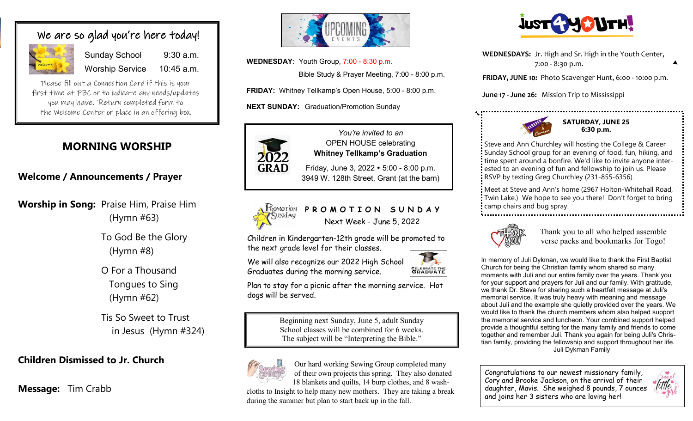## We are so glad you're here today!

|         | Si |
|---------|----|
| Welcome | W  |

Sunday School 9:30 a.m. orship Service 10:45 a.m.

Please fill out a Connection Card if this is your first time at FBC or to indicate any needs/updates you may have. Return completed form to the Welcome Center or place in an offering box.

# **MORNING WORSHIP**

**Welcome / Announcements / Prayer**

**Worship in Song:** Praise Him, Praise Him (Hymn #63)

> To God Be the Glory (Hymn #8)

O For a Thousand Tongues to Sing (Hymn #62)

Tis So Sweet to Trust in Jesus (Hymn #324)

## **Children Dismissed to Jr. Church**

**Message:** Tim Crabb



**WEDNESDAY**: Youth Group, 7:00 - 8:30 p.m.

Bible Study & Prayer Meeting, 7:00 - 8:00 p.m.

**FRIDAY:** Whitney Tellkamp's Open House, 5:00 - 8:00 p.m.

**NEXT SUNDAY:** Graduation/Promotion Sunday



*You're invited to an* OPEN HOUSE celebrating **Whitney Tellkamp's Graduation**

Friday, June 3, 2022 • 5:00 - 8:00 p.m. 3949 W. 128th Street, Grant (at the barn)



**PROMOTION SUNDAY** Next Week - June 5, 2022

Children in Kindergarten-12th grade will be promoted to the next grade level for their classes.

We will also recognize our 2022 High School Graduates during the morning service.



Plan to stay for a picnic after the morning service. Hot dogs will be served.

> Beginning next Sunday, June 5, adult Sunday School classes will be combined for 6 weeks. The subject will be "Interpreting the Bible."



 Our hard working Sewing Group completed many of their own projects this spring. They also donated 18 blankets and quilts, 14 burp clothes, and 8 wash-

cloths to Insight to help many new mothers. They are taking a break during the summer but plan to start back up in the fall.



**WEDNESDAYS:** Jr. High and Sr. High in the Youth Center, 7:00 - 8:30 p.m.

**FRIDAY, JUNE 10:** Photo Scavenger Hunt, 6:00 - 10:00 p.m.

**June 17 - June 26:** Mission Trip to Mississippi



**SATURDAY, JUNE 25 6:30 p.m.**

Steve and Ann Churchley will hosting the College & Career Sunday School group for an evening of food, fun, hiking, and time spent around a bonfire. We'd like to invite anyone interested to an evening of fun and fellowship to join us. Please RSVP by texting Greg Churchley (231-855-6356).

Meet at Steve and Ann's home (2967 Holton-Whitehall Road, Twin Lake.) We hope to see you there! Don't forget to bring camp chairs and bug spray.



Thank you to all who helped assemble verse packs and bookmarks for Togo!

In memory of Juli Dykman, we would like to thank the First Baptist Church for being the Christian family whom shared so many moments with Juli and our entire family over the years. Thank you for your support and prayers for Juli and our family. With gratitude, we thank Dr. Steve for sharing such a heartfelt message at Juli's memorial service. It was truly heavy with meaning and message about Juli and the example she quietly provided over the years. We would like to thank the church members whom also helped support the memorial service and luncheon. Your combined support helped provide a thoughtful setting for the many family and friends to come together and remember Juli. Thank you again for being Juli's Christian family, providing the fellowship and support throughout her life. Juli Dykman Family

Congratulations to our newest missionary family, Cory and Brooke Jackson, on the arrival of their daughter, Mavis. She weighed 8 pounds, 7 ounces and joins her 3 sisters who are loving her!